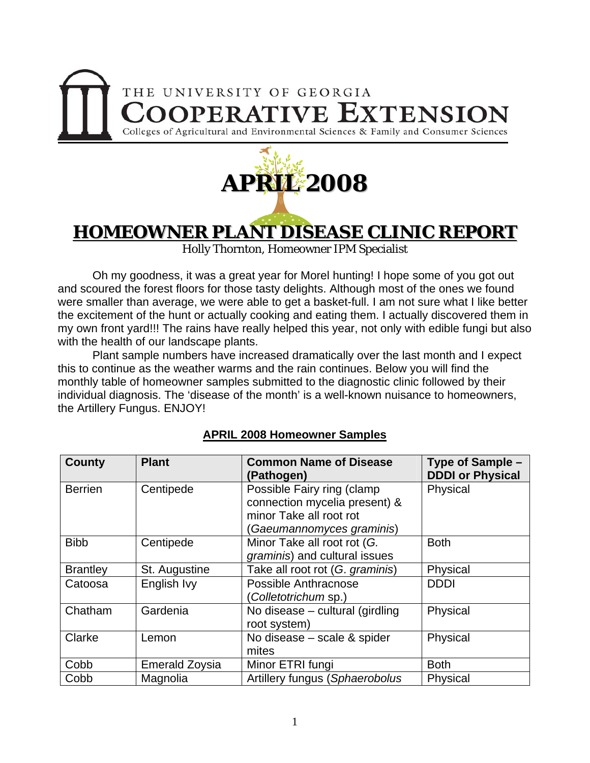



**HOMEOWNER PLANT DISEASE CLINIC REPORT** 

Holly Thornton, Homeowner IPM Specialist

Oh my goodness, it was a great year for Morel hunting! I hope some of you got out and scoured the forest floors for those tasty delights. Although most of the ones we found were smaller than average, we were able to get a basket-full. I am not sure what I like better the excitement of the hunt or actually cooking and eating them. I actually discovered them in my own front yard!!! The rains have really helped this year, not only with edible fungi but also with the health of our landscape plants.

Plant sample numbers have increased dramatically over the last month and I expect this to continue as the weather warms and the rain continues. Below you will find the monthly table of homeowner samples submitted to the diagnostic clinic followed by their individual diagnosis. The 'disease of the month' is a well-known nuisance to homeowners, the Artillery Fungus. ENJOY!

| <b>County</b>   | <b>Plant</b>          | <b>Common Name of Disease</b><br>(Pathogen)                                                                        | Type of Sample -<br><b>DDDI or Physical</b> |
|-----------------|-----------------------|--------------------------------------------------------------------------------------------------------------------|---------------------------------------------|
| <b>Berrien</b>  | Centipede             | Possible Fairy ring (clamp<br>connection mycelia present) &<br>minor Take all root rot<br>Gaeumannomyces graminis) | Physical                                    |
| <b>Bibb</b>     | Centipede             | Minor Take all root rot (G.<br>graminis) and cultural issues                                                       | <b>Both</b>                                 |
| <b>Brantley</b> | St. Augustine         | Take all root rot (G. graminis)                                                                                    | Physical                                    |
| Catoosa         | English Ivy           | Possible Anthracnose<br>(Colletotrichum sp.)                                                                       | <b>DDDI</b>                                 |
| Chatham         | Gardenia              | No disease $-$ cultural (girdling<br>root system)                                                                  | Physical                                    |
| Clarke          | Lemon                 | No disease – scale & spider<br>mites                                                                               | Physical                                    |
| Cobb            | <b>Emerald Zoysia</b> | Minor ETRI fungi                                                                                                   | <b>Both</b>                                 |
| Cobb            | Magnolia              | Artillery fungus (Sphaerobolus                                                                                     | Physical                                    |

## **APRIL 2008 Homeowner Samples**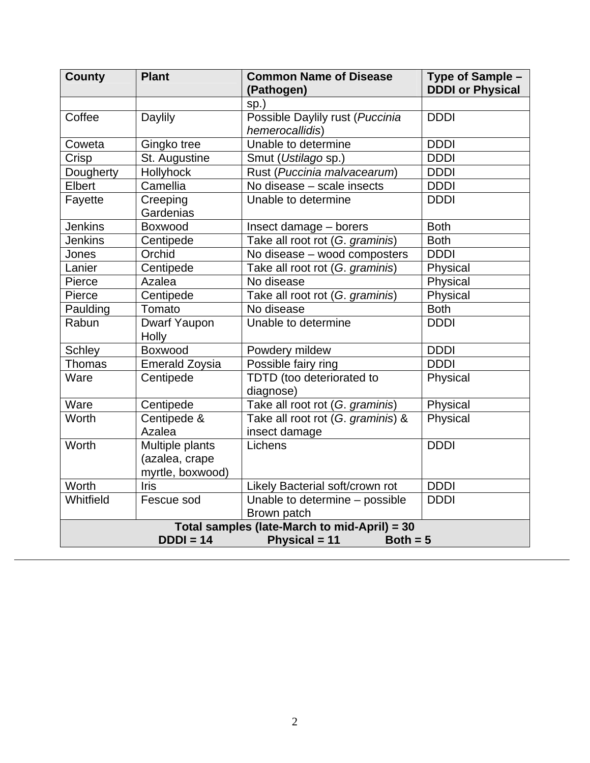| <b>County</b>                                     | <b>Plant</b>                                          | <b>Common Name of Disease</b><br>(Pathogen)        | Type of Sample -<br><b>DDDI or Physical</b> |  |
|---------------------------------------------------|-------------------------------------------------------|----------------------------------------------------|---------------------------------------------|--|
|                                                   |                                                       | sp.)                                               |                                             |  |
| Coffee                                            | Daylily                                               | Possible Daylily rust (Puccinia<br>hemerocallidis) | <b>DDDI</b>                                 |  |
| Coweta                                            | Gingko tree                                           | Unable to determine                                | <b>DDDI</b>                                 |  |
| Crisp                                             | St. Augustine                                         | Smut (Ustilago sp.)                                | <b>DDDI</b>                                 |  |
| Dougherty                                         | Hollyhock                                             | Rust (Puccinia malvacearum)                        | <b>DDDI</b>                                 |  |
| Elbert                                            | Camellia                                              | No disease - scale insects                         | <b>DDDI</b>                                 |  |
| Fayette                                           | Creeping<br>Gardenias                                 | Unable to determine                                | <b>DDDI</b>                                 |  |
| <b>Jenkins</b>                                    | Boxwood                                               | Insect damage - borers                             | <b>Both</b>                                 |  |
| <b>Jenkins</b>                                    | Centipede                                             | Take all root rot (G. graminis)                    | <b>Both</b>                                 |  |
| Jones                                             | Orchid                                                | No disease - wood composters                       | <b>DDDI</b>                                 |  |
| Lanier                                            | Centipede                                             | Take all root rot (G. graminis)                    | Physical                                    |  |
| Pierce                                            | Azalea                                                | No disease                                         | Physical                                    |  |
| Pierce                                            | Centipede                                             | Take all root rot (G. graminis)                    | Physical                                    |  |
| Paulding                                          | Tomato                                                | No disease                                         | <b>Both</b>                                 |  |
| Rabun                                             | Dwarf Yaupon<br>Holly                                 | Unable to determine                                | <b>DDDI</b>                                 |  |
| <b>Schley</b>                                     | Boxwood                                               | Powdery mildew                                     | <b>DDDI</b>                                 |  |
| Thomas                                            | Emerald Zoysia                                        | Possible fairy ring                                | <b>DDDI</b>                                 |  |
| Ware                                              | Centipede                                             | TDTD (too deteriorated to<br>diagnose)             | Physical                                    |  |
| Ware                                              | Centipede                                             | Take all root rot (G. graminis)                    | Physical                                    |  |
| Worth                                             | Centipede &<br>Azalea                                 | Take all root rot (G. graminis) &<br>insect damage | Physical                                    |  |
| Worth                                             | Multiple plants<br>(azalea, crape<br>myrtle, boxwood) | Lichens                                            | <b>DDDI</b>                                 |  |
| Worth                                             | lris                                                  | Likely Bacterial soft/crown rot                    | <b>DDDI</b>                                 |  |
| Whitfield                                         | Fescue sod                                            | Unable to determine - possible<br>Brown patch      | <b>DDDI</b>                                 |  |
| Total samples (late-March to mid-April) = 30      |                                                       |                                                    |                                             |  |
| $DDDI = 14$<br><b>Physical = 11</b><br>Both $= 5$ |                                                       |                                                    |                                             |  |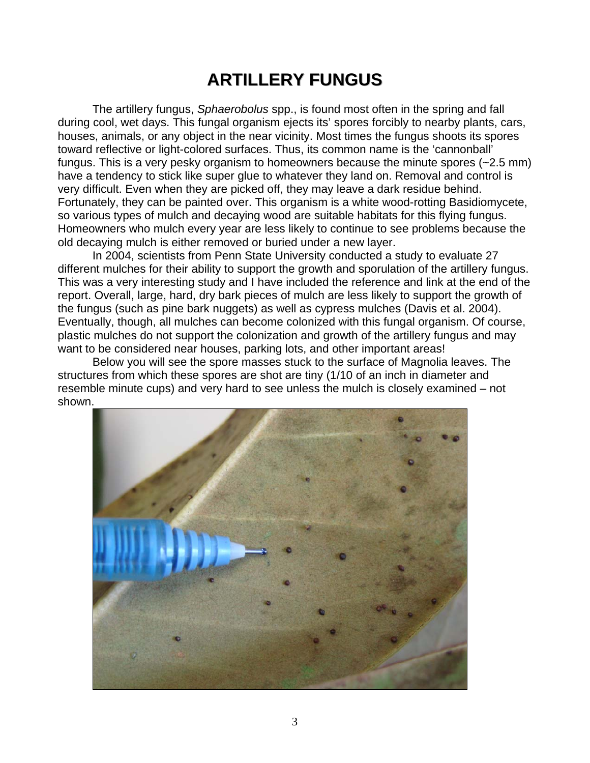## **ARTILLERY FUNGUS**

The artillery fungus, *Sphaerobolus* spp., is found most often in the spring and fall during cool, wet days. This fungal organism ejects its' spores forcibly to nearby plants, cars, houses, animals, or any object in the near vicinity. Most times the fungus shoots its spores toward reflective or light-colored surfaces. Thus, its common name is the 'cannonball' fungus. This is a very pesky organism to homeowners because the minute spores (~2.5 mm) have a tendency to stick like super glue to whatever they land on. Removal and control is very difficult. Even when they are picked off, they may leave a dark residue behind. Fortunately, they can be painted over. This organism is a white wood-rotting Basidiomycete, so various types of mulch and decaying wood are suitable habitats for this flying fungus. Homeowners who mulch every year are less likely to continue to see problems because the old decaying mulch is either removed or buried under a new layer.

 In 2004, scientists from Penn State University conducted a study to evaluate 27 different mulches for their ability to support the growth and sporulation of the artillery fungus. This was a very interesting study and I have included the reference and link at the end of the report. Overall, large, hard, dry bark pieces of mulch are less likely to support the growth of the fungus (such as pine bark nuggets) as well as cypress mulches (Davis et al. 2004). Eventually, though, all mulches can become colonized with this fungal organism. Of course, plastic mulches do not support the colonization and growth of the artillery fungus and may want to be considered near houses, parking lots, and other important areas!

 Below you will see the spore masses stuck to the surface of Magnolia leaves. The structures from which these spores are shot are tiny (1/10 of an inch in diameter and resemble minute cups) and very hard to see unless the mulch is closely examined – not shown.